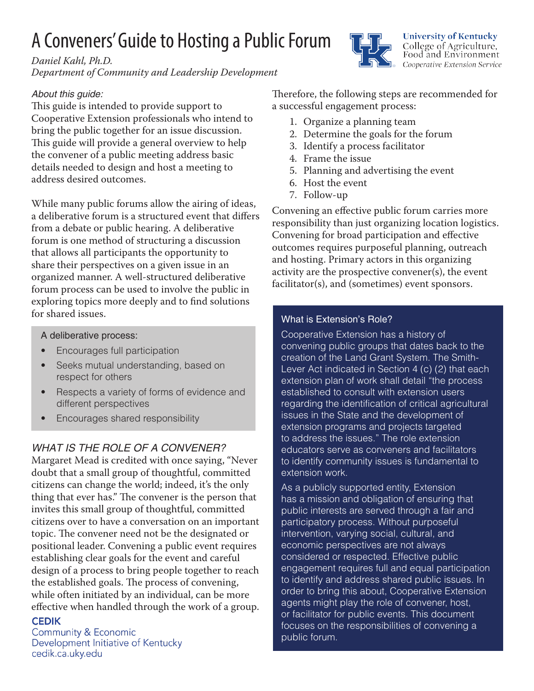# A Conveners' Guide to Hosting a Public Forum

*Daniel Kahl, Ph.D. Department of Community and Leadership Development*

# *About this guide:*

This guide is intended to provide support to Cooperative Extension professionals who intend to bring the public together for an issue discussion. This guide will provide a general overview to help the convener of a public meeting address basic details needed to design and host a meeting to address desired outcomes.

While many public forums allow the airing of ideas, a deliberative forum is a structured event that differs from a debate or public hearing. A deliberative forum is one method of structuring a discussion that allows all participants the opportunity to share their perspectives on a given issue in an organized manner. A well-structured deliberative forum process can be used to involve the public in exploring topics more deeply and to find solutions for shared issues.

A deliberative process:

- Encourages full participation
- Seeks mutual understanding, based on respect for others
- Respects a variety of forms of evidence and different perspectives
- Encourages shared responsibility

# *WHAT IS THE ROLE OF A CONVENER?*

Margaret Mead is credited with once saying, "Never doubt that a small group of thoughtful, committed citizens can change the world; indeed, it's the only thing that ever has." The convener is the person that invites this small group of thoughtful, committed citizens over to have a conversation on an important topic. The convener need not be the designated or positional leader. Convening a public event requires establishing clear goals for the event and careful design of a process to bring people together to reach the established goals. The process of convening, while often initiated by an individual, can be more effective when handled through the work of a group.

#### **CEDIK**

Community & Economic Development Initiative of Kentucky cedik.ca.uky.edu

Therefore, the following steps are recommended for a successful engagement process:

**University of Kentucky** College of Agriculture, Food and Environment Cooperative Extension Service

- 1. Organize a planning team
- 2. Determine the goals for the forum
- 3. Identify a process facilitator
- 4. Frame the issue
- 5. Planning and advertising the event
- 6. Host the event
- 7. Follow-up

Convening an effective public forum carries more responsibility than just organizing location logistics. Convening for broad participation and effective outcomes requires purposeful planning, outreach and hosting. Primary actors in this organizing activity are the prospective convener(s), the event facilitator(s), and (sometimes) event sponsors.

#### What is Extension's Role?

Cooperative Extension has a history of convening public groups that dates back to the creation of the Land Grant System. The Smith-Lever Act indicated in Section 4 (c) (2) that each extension plan of work shall detail "the process established to consult with extension users regarding the identification of critical agricultural issues in the State and the development of extension programs and projects targeted to address the issues." The role extension educators serve as conveners and facilitators to identify community issues is fundamental to extension work.

As a publicly supported entity, Extension has a mission and obligation of ensuring that public interests are served through a fair and participatory process. Without purposeful intervention, varying social, cultural, and economic perspectives are not always considered or respected. Effective public engagement requires full and equal participation to identify and address shared public issues. In order to bring this about, Cooperative Extension agents might play the role of convener, host, or facilitator for public events. This document focuses on the responsibilities of convening a public forum.

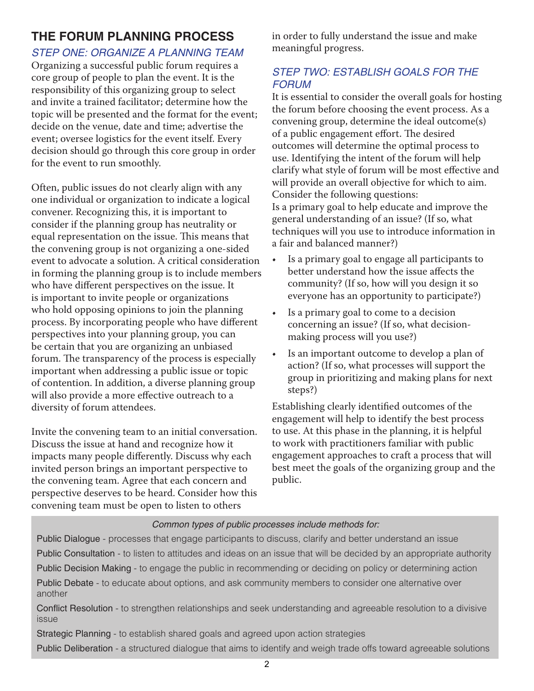# **THE FORUM PLANNING PROCESS**

*STEP ONE: ORGANIZE A PLANNING TEAM*

Organizing a successful public forum requires a core group of people to plan the event. It is the responsibility of this organizing group to select and invite a trained facilitator; determine how the topic will be presented and the format for the event; decide on the venue, date and time; advertise the event; oversee logistics for the event itself. Every decision should go through this core group in order for the event to run smoothly.

Often, public issues do not clearly align with any one individual or organization to indicate a logical convener. Recognizing this, it is important to consider if the planning group has neutrality or equal representation on the issue. This means that the convening group is not organizing a one-sided event to advocate a solution. A critical consideration in forming the planning group is to include members who have different perspectives on the issue. It is important to invite people or organizations who hold opposing opinions to join the planning process. By incorporating people who have different perspectives into your planning group, you can be certain that you are organizing an unbiased forum. The transparency of the process is especially important when addressing a public issue or topic of contention. In addition, a diverse planning group will also provide a more effective outreach to a diversity of forum attendees.

Invite the convening team to an initial conversation. Discuss the issue at hand and recognize how it impacts many people differently. Discuss why each invited person brings an important perspective to the convening team. Agree that each concern and perspective deserves to be heard. Consider how this convening team must be open to listen to others

in order to fully understand the issue and make meaningful progress.

# *STEP TWO: ESTABLISH GOALS FOR THE FORUM*

It is essential to consider the overall goals for hosting the forum before choosing the event process. As a convening group, determine the ideal outcome(s) of a public engagement effort. The desired outcomes will determine the optimal process to use. Identifying the intent of the forum will help clarify what style of forum will be most effective and will provide an overall objective for which to aim. Consider the following questions: Is a primary goal to help educate and improve the general understanding of an issue? (If so, what techniques will you use to introduce information in a fair and balanced manner?)

- Is a primary goal to engage all participants to better understand how the issue affects the community? (If so, how will you design it so everyone has an opportunity to participate?)
- Is a primary goal to come to a decision concerning an issue? (If so, what decisionmaking process will you use?)
- Is an important outcome to develop a plan of action? (If so, what processes will support the group in prioritizing and making plans for next steps?)

Establishing clearly identified outcomes of the engagement will help to identify the best process to use. At this phase in the planning, it is helpful to work with practitioners familiar with public engagement approaches to craft a process that will best meet the goals of the organizing group and the public.

#### *Common types of public processes include methods for:*

Public Dialogue - processes that engage participants to discuss, clarify and better understand an issue Public Consultation - to listen to attitudes and ideas on an issue that will be decided by an appropriate authority Public Decision Making - to engage the public in recommending or deciding on policy or determining action Public Debate - to educate about options, and ask community members to consider one alternative over another

Conflict Resolution - to strengthen relationships and seek understanding and agreeable resolution to a divisive issue

Strategic Planning - to establish shared goals and agreed upon action strategies

Public Deliberation - a structured dialogue that aims to identify and weigh trade offs toward agreeable solutions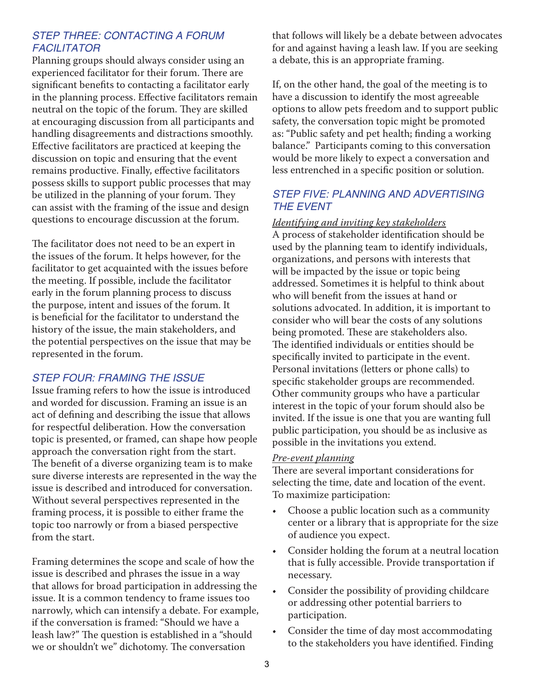#### *STEP THREE: CONTACTING A FORUM FACILITATOR*

Planning groups should always consider using an experienced facilitator for their forum. There are significant benefits to contacting a facilitator early in the planning process. Effective facilitators remain neutral on the topic of the forum. They are skilled at encouraging discussion from all participants and handling disagreements and distractions smoothly. Effective facilitators are practiced at keeping the discussion on topic and ensuring that the event remains productive. Finally, effective facilitators possess skills to support public processes that may be utilized in the planning of your forum. They can assist with the framing of the issue and design questions to encourage discussion at the forum.

The facilitator does not need to be an expert in the issues of the forum. It helps however, for the facilitator to get acquainted with the issues before the meeting. If possible, include the facilitator early in the forum planning process to discuss the purpose, intent and issues of the forum. It is beneficial for the facilitator to understand the history of the issue, the main stakeholders, and the potential perspectives on the issue that may be represented in the forum.

# *STEP FOUR: FRAMING THE ISSUE*

Issue framing refers to how the issue is introduced and worded for discussion. Framing an issue is an act of defining and describing the issue that allows for respectful deliberation. How the conversation topic is presented, or framed, can shape how people approach the conversation right from the start. The benefit of a diverse organizing team is to make sure diverse interests are represented in the way the issue is described and introduced for conversation. Without several perspectives represented in the framing process, it is possible to either frame the topic too narrowly or from a biased perspective from the start.

Framing determines the scope and scale of how the issue is described and phrases the issue in a way that allows for broad participation in addressing the issue. It is a common tendency to frame issues too narrowly, which can intensify a debate. For example, if the conversation is framed: "Should we have a leash law?" The question is established in a "should we or shouldn't we" dichotomy. The conversation

that follows will likely be a debate between advocates for and against having a leash law. If you are seeking a debate, this is an appropriate framing.

If, on the other hand, the goal of the meeting is to have a discussion to identify the most agreeable options to allow pets freedom and to support public safety, the conversation topic might be promoted as: "Public safety and pet health; finding a working balance." Participants coming to this conversation would be more likely to expect a conversation and less entrenched in a specific position or solution.

# *STEP FIVE: PLANNING AND ADVERTISING THE EVENT*

#### *Identifying and inviting key stakeholders*

A process of stakeholder identification should be used by the planning team to identify individuals, organizations, and persons with interests that will be impacted by the issue or topic being addressed. Sometimes it is helpful to think about who will benefit from the issues at hand or solutions advocated. In addition, it is important to consider who will bear the costs of any solutions being promoted. These are stakeholders also. The identified individuals or entities should be specifically invited to participate in the event. Personal invitations (letters or phone calls) to specific stakeholder groups are recommended. Other community groups who have a particular interest in the topic of your forum should also be invited. If the issue is one that you are wanting full public participation, you should be as inclusive as possible in the invitations you extend.

#### *Pre-event planning*

There are several important considerations for selecting the time, date and location of the event. To maximize participation:

- Choose a public location such as a community center or a library that is appropriate for the size of audience you expect.
- Consider holding the forum at a neutral location that is fully accessible. Provide transportation if necessary.
- Consider the possibility of providing childcare or addressing other potential barriers to participation.
- Consider the time of day most accommodating to the stakeholders you have identified. Finding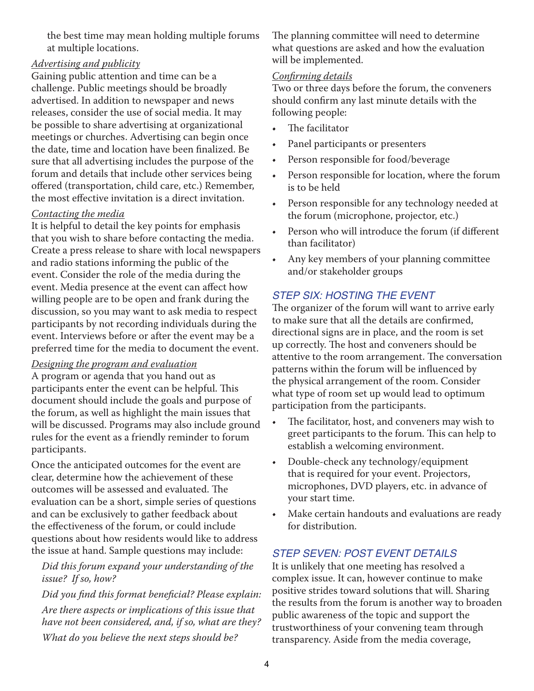the best time may mean holding multiple forums at multiple locations.

# *Advertising and publicity*

Gaining public attention and time can be a challenge. Public meetings should be broadly advertised. In addition to newspaper and news releases, consider the use of social media. It may be possible to share advertising at organizational meetings or churches. Advertising can begin once the date, time and location have been finalized. Be sure that all advertising includes the purpose of the forum and details that include other services being offered (transportation, child care, etc.) Remember, the most effective invitation is a direct invitation.

#### *Contacting the media*

It is helpful to detail the key points for emphasis that you wish to share before contacting the media. Create a press release to share with local newspapers and radio stations informing the public of the event. Consider the role of the media during the event. Media presence at the event can affect how willing people are to be open and frank during the discussion, so you may want to ask media to respect participants by not recording individuals during the event. Interviews before or after the event may be a preferred time for the media to document the event.

#### *Designing the program and evaluation*

A program or agenda that you hand out as participants enter the event can be helpful. This document should include the goals and purpose of the forum, as well as highlight the main issues that will be discussed. Programs may also include ground rules for the event as a friendly reminder to forum participants.

Once the anticipated outcomes for the event are clear, determine how the achievement of these outcomes will be assessed and evaluated. The evaluation can be a short, simple series of questions and can be exclusively to gather feedback about the effectiveness of the forum, or could include questions about how residents would like to address the issue at hand. Sample questions may include:

### *Did this forum expand your understanding of the issue? If so, how?*

*Did you find this format beneficial? Please explain: Are there aspects or implications of this issue that have not been considered, and, if so, what are they? What do you believe the next steps should be?*

The planning committee will need to determine what questions are asked and how the evaluation will be implemented.

#### *Confirming details*

Two or three days before the forum, the conveners should confirm any last minute details with the following people:

- The facilitator
- Panel participants or presenters
- Person responsible for food/beverage
- Person responsible for location, where the forum is to be held
- Person responsible for any technology needed at the forum (microphone, projector, etc.)
- Person who will introduce the forum (if different than facilitator)
- Any key members of your planning committee and/or stakeholder groups

# *STEP SIX: HOSTING THE EVENT*

The organizer of the forum will want to arrive early to make sure that all the details are confirmed, directional signs are in place, and the room is set up correctly. The host and conveners should be attentive to the room arrangement. The conversation patterns within the forum will be influenced by the physical arrangement of the room. Consider what type of room set up would lead to optimum participation from the participants.

- The facilitator, host, and conveners may wish to greet participants to the forum. This can help to establish a welcoming environment.
- Double-check any technology/equipment that is required for your event. Projectors, microphones, DVD players, etc. in advance of your start time.
- Make certain handouts and evaluations are ready for distribution.

# *STEP SEVEN: POST EVENT DETAILS*

It is unlikely that one meeting has resolved a complex issue. It can, however continue to make positive strides toward solutions that will. Sharing the results from the forum is another way to broaden public awareness of the topic and support the trustworthiness of your convening team through transparency. Aside from the media coverage,